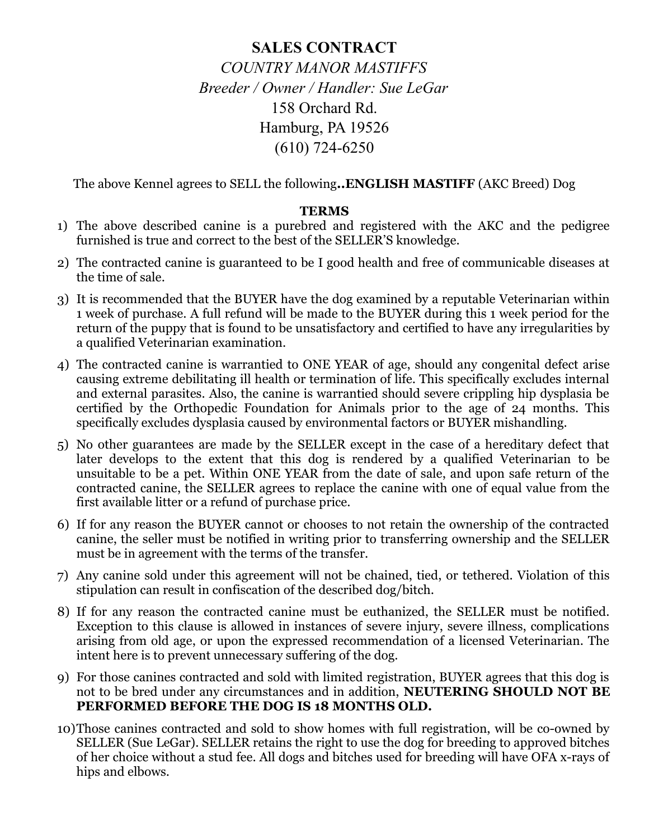## **SALES CONTRACT** *COUNTRY MANOR MASTIFFS Breeder / Owner / Handler: Sue LeGar* 158 Orchard Rd. Hamburg, PA 19526 (610) 724-6250

The above Kennel agrees to SELL the following**..ENGLISH MASTIFF** (AKC Breed) Dog

## **TERMS**

- 1) The above described canine is a purebred and registered with the AKC and the pedigree furnished is true and correct to the best of the SELLER'S knowledge.
- 2) The contracted canine is guaranteed to be I good health and free of communicable diseases at the time of sale.
- 3) It is recommended that the BUYER have the dog examined by a reputable Veterinarian within 1 week of purchase. A full refund will be made to the BUYER during this 1 week period for the return of the puppy that is found to be unsatisfactory and certified to have any irregularities by a qualified Veterinarian examination.
- 4) The contracted canine is warrantied to ONE YEAR of age, should any congenital defect arise causing extreme debilitating ill health or termination of life. This specifically excludes internal and external parasites. Also, the canine is warrantied should severe crippling hip dysplasia be certified by the Orthopedic Foundation for Animals prior to the age of 24 months. This specifically excludes dysplasia caused by environmental factors or BUYER mishandling.
- 5) No other guarantees are made by the SELLER except in the case of a hereditary defect that later develops to the extent that this dog is rendered by a qualified Veterinarian to be unsuitable to be a pet. Within ONE YEAR from the date of sale, and upon safe return of the contracted canine, the SELLER agrees to replace the canine with one of equal value from the first available litter or a refund of purchase price.
- 6) If for any reason the BUYER cannot or chooses to not retain the ownership of the contracted canine, the seller must be notified in writing prior to transferring ownership and the SELLER must be in agreement with the terms of the transfer.
- 7) Any canine sold under this agreement will not be chained, tied, or tethered. Violation of this stipulation can result in confiscation of the described dog/bitch.
- 8) If for any reason the contracted canine must be euthanized, the SELLER must be notified. Exception to this clause is allowed in instances of severe injury, severe illness, complications arising from old age, or upon the expressed recommendation of a licensed Veterinarian. The intent here is to prevent unnecessary suffering of the dog.
- 9) For those canines contracted and sold with limited registration, BUYER agrees that this dog is not to be bred under any circumstances and in addition, **NEUTERING SHOULD NOT BE PERFORMED BEFORE THE DOG IS 18 MONTHS OLD.**
- 10)Those canines contracted and sold to show homes with full registration, will be co-owned by SELLER (Sue LeGar). SELLER retains the right to use the dog for breeding to approved bitches of her choice without a stud fee. All dogs and bitches used for breeding will have OFA x-rays of hips and elbows.